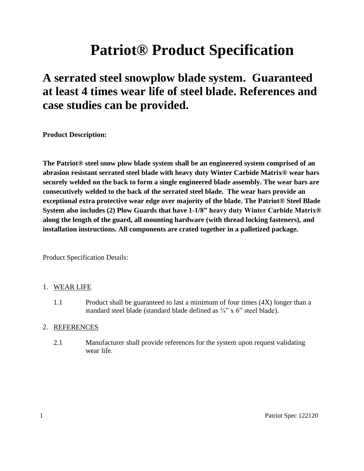# **Patriot® Product Specification**

# **A serrated steel snowplow blade system. Guaranteed at least 4 times wear life of steel blade. References and case studies can be provided.**

**Product Description:**

**The Patriot® steel snow plow blade system shall be an engineered system comprised of an abrasion resistant serrated steel blade with heavy duty Winter Carbide Matrix® wear bars securely welded on the back to form a single engineered blade assembly. The wear bars are consecutively welded to the back of the serrated steel blade. The wear bars provide an exceptional extra protective wear edge over majority of the blade. The Patriot® Steel Blade System also includes (2) Plow Guards that have 1-1/8" heavy duty Winter Carbide Matrix® along the length of the guard, all mounting hardware (with thread locking fasteners), and installation instructions. All components are crated together in a palletized package.**

Product Specification Details:

#### 1. WEAR LIFE

1.1 Product shall be guaranteed to last a minimum of four times (4X) longer than a standard steel blade (standard blade defined as  $\frac{3}{4}$ " x 6" steel blade).

#### 2. REFERENCES

2.1 Manufacturer shall provide references for the system upon request validating wear life.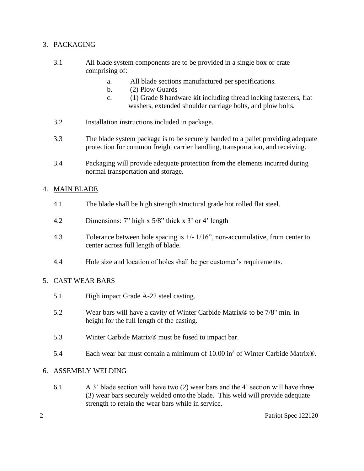### 3. PACKAGING

- 3.1 All blade system components are to be provided in a single box or crate comprising of:
	- a. All blade sections manufactured per specifications.
	- b. (2) Plow Guards
	- c. (1) Grade 8 hardware kit including thread locking fasteners, flat washers, extended shoulder carriage bolts, and plow bolts.
- 3.2 Installation instructions included in package.
- 3.3 The blade system package is to be securely banded to a pallet providing adequate protection for common freight carrier handling, transportation, and receiving.
- 3.4 Packaging will provide adequate protection from the elements incurred during normal transportation and storage.

#### 4. MAIN BLADE

- 4.1 The blade shall be high strength structural grade hot rolled flat steel.
- 4.2 Dimensions: 7" high x 5/8" thick x 3' or 4' length
- 4.3 Tolerance between hole spacing is +/- 1/16", non-accumulative, from center to center across full length of blade.
- 4.4 Hole size and location of holes shall be per customer's requirements.

#### 5. CAST WEAR BARS

- 5.1 High impact Grade A-22 steel casting.
- 5.2 Wear bars will have a cavity of Winter Carbide Matrix® to be 7/8" min. in height for the full length of the casting.
- 5.3 Winter Carbide Matrix® must be fused to impact bar.
- 5.4 Each wear bar must contain a minimum of  $10.00$  in<sup>3</sup> of Winter Carbide Matrix®.

#### 6. ASSEMBLY WELDING

6.1 A 3' blade section will have two (2) wear bars and the 4' section will have three (3) wear bars securely welded onto the blade. This weld will provide adequate strength to retain the wear bars while in service.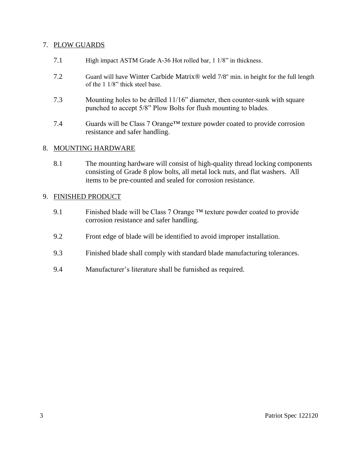#### 7. PLOW GUARDS

- 7.1 High impact ASTM Grade A-36 Hot rolled bar, 1 1/8" in thickness.
- 7.2 Guard will have Winter Carbide Matrix® weld 7/8" min. in height for the full length of the 1 1/8" thick steel base.
- 7.3 Mounting holes to be drilled 11/16" diameter, then counter-sunk with square punched to accept 5/8" Plow Bolts for flush mounting to blades.
- 7.4 Guards will be Class 7 Orange™ texture powder coated to provide corrosion resistance and safer handling.

#### 8. MOUNTING HARDWARE

8.1 The mounting hardware will consist of high-quality thread locking components consisting of Grade 8 plow bolts, all metal lock nuts, and flat washers. All items to be pre-counted and sealed for corrosion resistance.

#### 9. FINISHED PRODUCT

- 9.1 Finished blade will be Class 7 Orange  $TM$  texture powder coated to provide corrosion resistance and safer handling.
- 9.2 Front edge of blade will be identified to avoid improper installation.
- 9.3 Finished blade shall comply with standard blade manufacturing tolerances.
- 9.4 Manufacturer's literature shall be furnished as required.